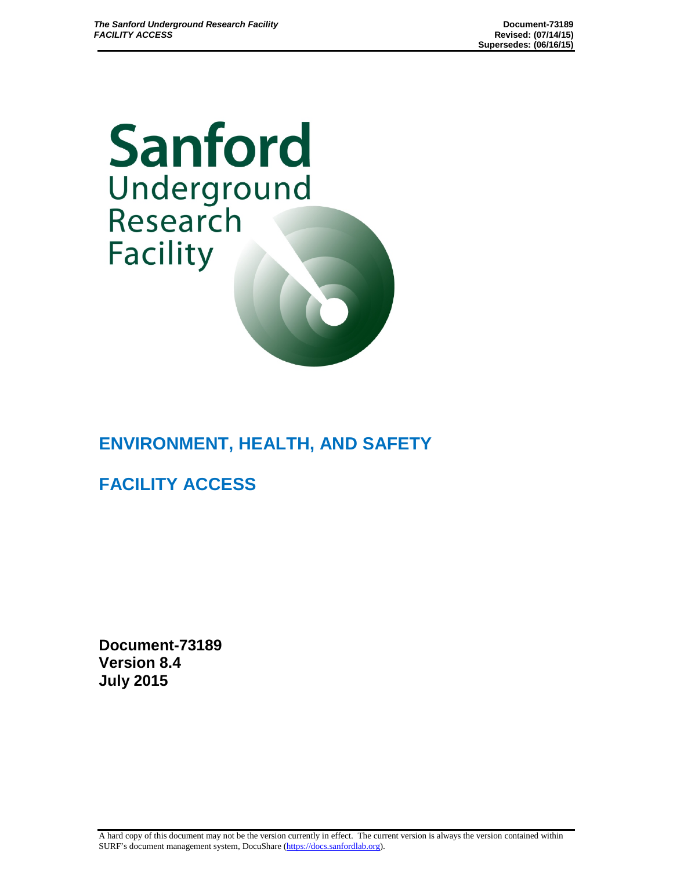Sanford Underground<br>Research **Facility** 

# **ENVIRONMENT, HEALTH, AND SAFETY**

**FACILITY ACCESS**

**Document-73189 Version 8.4 July 2015**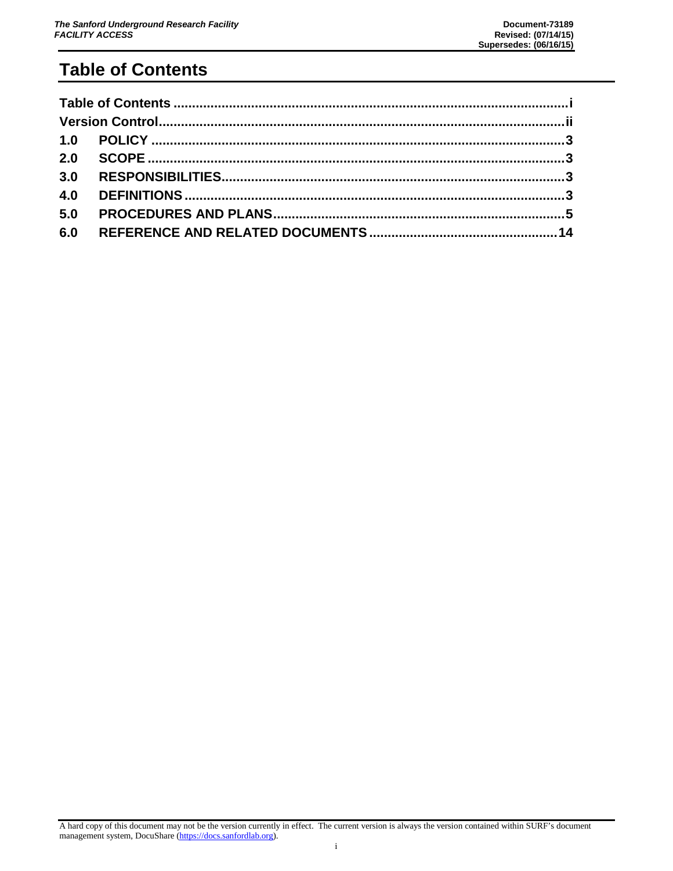# <span id="page-1-0"></span>**Table of Contents**

| 3.0 |  |
|-----|--|
| 4.0 |  |
| 5.0 |  |
| 6.0 |  |

A hard copy of this document may not be the version currently in effect. The current version is always the version contained within SURF's document management system, DocuShare [\(https://docs.sanfordlab.org\)](https://docs.sanfordlab.org/).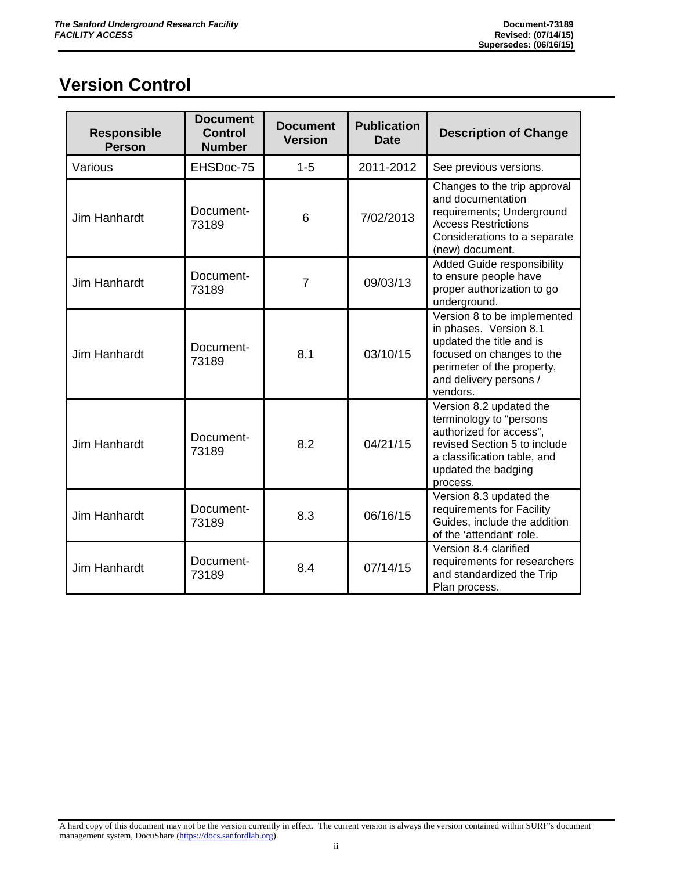# <span id="page-2-0"></span>**Version Control**

| <b>Responsible</b><br><b>Person</b> | <b>Document</b><br><b>Control</b><br><b>Number</b> | <b>Document</b><br><b>Version</b> | <b>Publication</b><br><b>Date</b> | <b>Description of Change</b>                                                                                                                                                       |
|-------------------------------------|----------------------------------------------------|-----------------------------------|-----------------------------------|------------------------------------------------------------------------------------------------------------------------------------------------------------------------------------|
| Various                             | EHSDoc-75                                          | $1 - 5$                           | 2011-2012                         | See previous versions.                                                                                                                                                             |
| <b>Jim Hanhardt</b>                 | Document-<br>73189                                 | 6                                 | 7/02/2013                         | Changes to the trip approval<br>and documentation<br>requirements; Underground<br><b>Access Restrictions</b><br>Considerations to a separate<br>(new) document.                    |
| <b>Jim Hanhardt</b>                 | Document-<br>73189                                 | $\overline{7}$                    | 09/03/13                          | Added Guide responsibility<br>to ensure people have<br>proper authorization to go<br>underground.                                                                                  |
| <b>Jim Hanhardt</b>                 | Document-<br>73189                                 | 8.1                               | 03/10/15                          | Version 8 to be implemented<br>in phases. Version 8.1<br>updated the title and is<br>focused on changes to the<br>perimeter of the property,<br>and delivery persons /<br>vendors. |
| <b>Jim Hanhardt</b>                 | Document-<br>73189                                 | 8.2                               | 04/21/15                          | Version 8.2 updated the<br>terminology to "persons<br>authorized for access",<br>revised Section 5 to include<br>a classification table, and<br>updated the badging<br>process.    |
| <b>Jim Hanhardt</b>                 | Document-<br>73189                                 | 8.3                               | 06/16/15                          | Version 8.3 updated the<br>requirements for Facility<br>Guides, include the addition<br>of the 'attendant' role.                                                                   |
| <b>Jim Hanhardt</b>                 | Document-<br>73189                                 | 8.4                               | 07/14/15                          | Version 8.4 clarified<br>requirements for researchers<br>and standardized the Trip<br>Plan process.                                                                                |

A hard copy of this document may not be the version currently in effect. The current version is always the version contained within SURF's document management system, DocuShare [\(https://docs.sanfordlab.org\)](https://docs.sanfordlab.org/).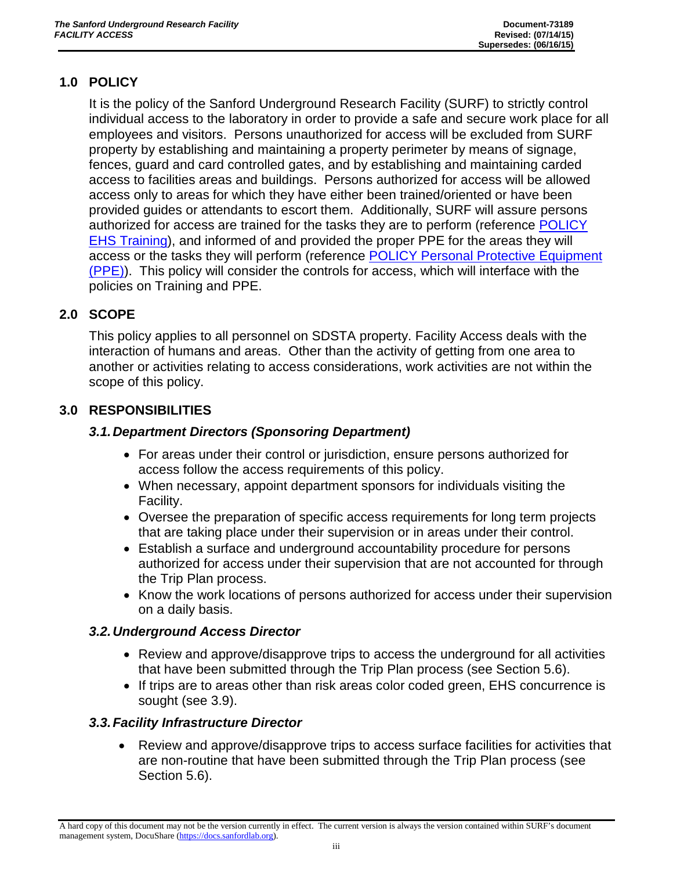# <span id="page-3-0"></span>**1.0 POLICY**

It is the policy of the Sanford Underground Research Facility (SURF) to strictly control individual access to the laboratory in order to provide a safe and secure work place for all employees and visitors. Persons unauthorized for access will be excluded from SURF property by establishing and maintaining a property perimeter by means of signage, fences, guard and card controlled gates, and by establishing and maintaining carded access to facilities areas and buildings. Persons authorized for access will be allowed access only to areas for which they have either been trained/oriented or have been provided guides or attendants to escort them. Additionally, SURF will assure persons authorized for access are trained for the tasks they are to perform (reference [POLICY](https://docs.sanfordlab.org/docushare/dsweb/Get/Document-73354)  [EHS Training\)](https://docs.sanfordlab.org/docushare/dsweb/Get/Document-73354), and informed of and provided the proper PPE for the areas they will access or the tasks they will perform (reference [POLICY Personal Protective Equipment](https://docs.sanfordlab.org/docushare/dsweb/Get/Document-71493)  [\(PPE\)\)](https://docs.sanfordlab.org/docushare/dsweb/Get/Document-71493). This policy will consider the controls for access, which will interface with the policies on Training and PPE.

## <span id="page-3-1"></span>**2.0 SCOPE**

This policy applies to all personnel on SDSTA property. Facility Access deals with the interaction of humans and areas. Other than the activity of getting from one area to another or activities relating to access considerations, work activities are not within the scope of this policy.

## <span id="page-3-2"></span>**3.0 RESPONSIBILITIES**

#### *3.1.Department Directors (Sponsoring Department)*

- For areas under their control or jurisdiction, ensure persons authorized for access follow the access requirements of this policy.
- When necessary, appoint department sponsors for individuals visiting the Facility.
- Oversee the preparation of specific access requirements for long term projects that are taking place under their supervision or in areas under their control.
- Establish a surface and underground accountability procedure for persons authorized for access under their supervision that are not accounted for through the Trip Plan process.
- Know the work locations of persons authorized for access under their supervision on a daily basis.

#### *3.2.Underground Access Director*

- Review and approve/disapprove trips to access the underground for all activities that have been submitted through the Trip Plan process (see Section 5.6).
- If trips are to areas other than risk areas color coded green, EHS concurrence is sought (see 3.9).

#### *3.3.Facility Infrastructure Director*

• Review and approve/disapprove trips to access surface facilities for activities that are non-routine that have been submitted through the Trip Plan process (see Section 5.6).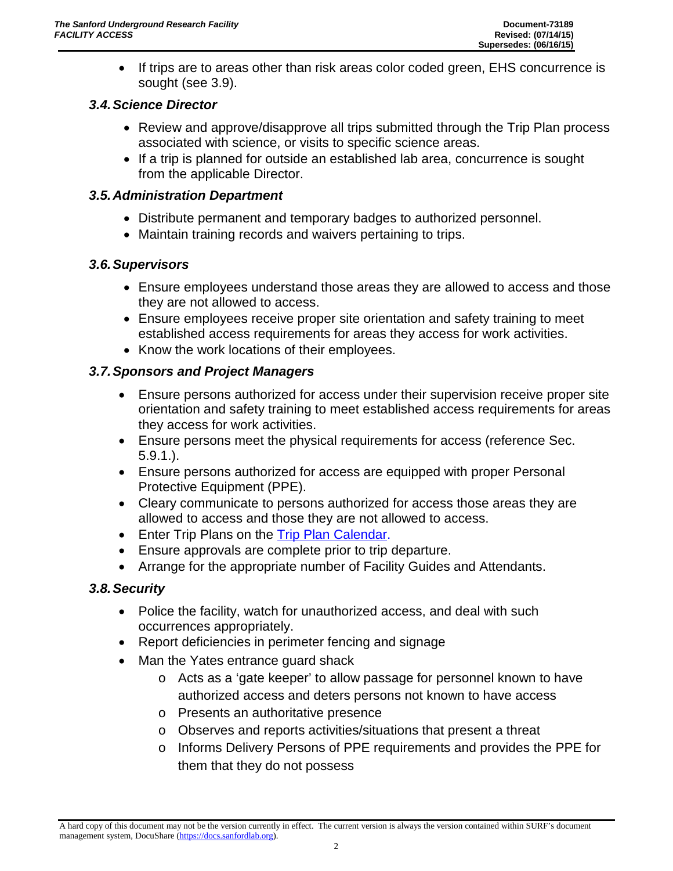• If trips are to areas other than risk areas color coded green, EHS concurrence is sought (see 3.9).

#### *3.4.Science Director*

- Review and approve/disapprove all trips submitted through the Trip Plan process associated with science, or visits to specific science areas.
- If a trip is planned for outside an established lab area, concurrence is sought from the applicable Director.

#### *3.5.Administration Department*

- Distribute permanent and temporary badges to authorized personnel.
- Maintain training records and waivers pertaining to trips.

#### *3.6.Supervisors*

- Ensure employees understand those areas they are allowed to access and those they are not allowed to access.
- Ensure employees receive proper site orientation and safety training to meet established access requirements for areas they access for work activities.
- Know the work locations of their employees.

#### *3.7.Sponsors and Project Managers*

- Ensure persons authorized for access under their supervision receive proper site orientation and safety training to meet established access requirements for areas they access for work activities.
- Ensure persons meet the physical requirements for access (reference Sec. 5.9.1.).
- Ensure persons authorized for access are equipped with proper Personal Protective Equipment (PPE).
- Cleary communicate to persons authorized for access those areas they are allowed to access and those they are not allowed to access.
- Enter Trip Plans on the [Trip Plan Calendar.](https://docs.sanfordlab.org/cfide/ta_view.cfm)
- Ensure approvals are complete prior to trip departure.
- Arrange for the appropriate number of Facility Guides and Attendants.

#### *3.8.Security*

- Police the facility, watch for unauthorized access, and deal with such occurrences appropriately.
- Report deficiencies in perimeter fencing and signage
- Man the Yates entrance guard shack
	- o Acts as a 'gate keeper' to allow passage for personnel known to have authorized access and deters persons not known to have access
	- o Presents an authoritative presence
	- o Observes and reports activities/situations that present a threat
	- o Informs Delivery Persons of PPE requirements and provides the PPE for them that they do not possess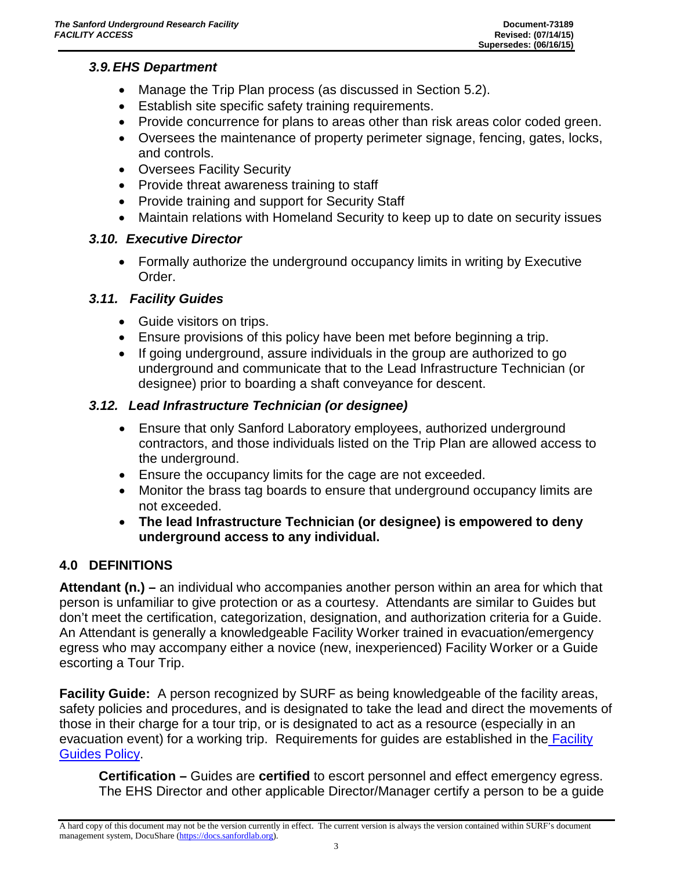#### *3.9.EHS Department*

- Manage the Trip Plan process (as discussed in Section 5.2).
- Establish site specific safety training requirements.
- Provide concurrence for plans to areas other than risk areas color coded green.
- Oversees the maintenance of property perimeter signage, fencing, gates, locks, and controls.
- Oversees Facility Security
- Provide threat awareness training to staff
- Provide training and support for Security Staff
- Maintain relations with Homeland Security to keep up to date on security issues

## *3.10. Executive Director*

• Formally authorize the underground occupancy limits in writing by Executive Order.

## *3.11. Facility Guides*

- Guide visitors on trips.
- Ensure provisions of this policy have been met before beginning a trip.
- If going underground, assure individuals in the group are authorized to go underground and communicate that to the Lead Infrastructure Technician (or designee) prior to boarding a shaft conveyance for descent.

# *3.12. Lead Infrastructure Technician (or designee)*

- Ensure that only Sanford Laboratory employees, authorized underground contractors, and those individuals listed on the Trip Plan are allowed access to the underground.
- Ensure the occupancy limits for the cage are not exceeded.
- Monitor the brass tag boards to ensure that underground occupancy limits are not exceeded.
- **The lead Infrastructure Technician (or designee) is empowered to deny underground access to any individual.**

# <span id="page-5-0"></span>**4.0 DEFINITIONS**

**Attendant (n.) –** an individual who accompanies another person within an area for which that person is unfamiliar to give protection or as a courtesy. Attendants are similar to Guides but don't meet the certification, categorization, designation, and authorization criteria for a Guide. An Attendant is generally a knowledgeable Facility Worker trained in evacuation/emergency egress who may accompany either a novice (new, inexperienced) Facility Worker or a Guide escorting a Tour Trip.

**Facility Guide:** A person recognized by SURF as being knowledgeable of the facility areas, safety policies and procedures, and is designated to take the lead and direct the movements of those in their charge for a tour trip, or is designated to act as a resource (especially in an evacuation event) for a working trip. Requirements for quides are established in the Facility [Guides Policy.](https://docs.sanfordlab.org/docushare/dsweb/Get/Document-79248/)

**Certification –** Guides are **certified** to escort personnel and effect emergency egress. The EHS Director and other applicable Director/Manager certify a person to be a guide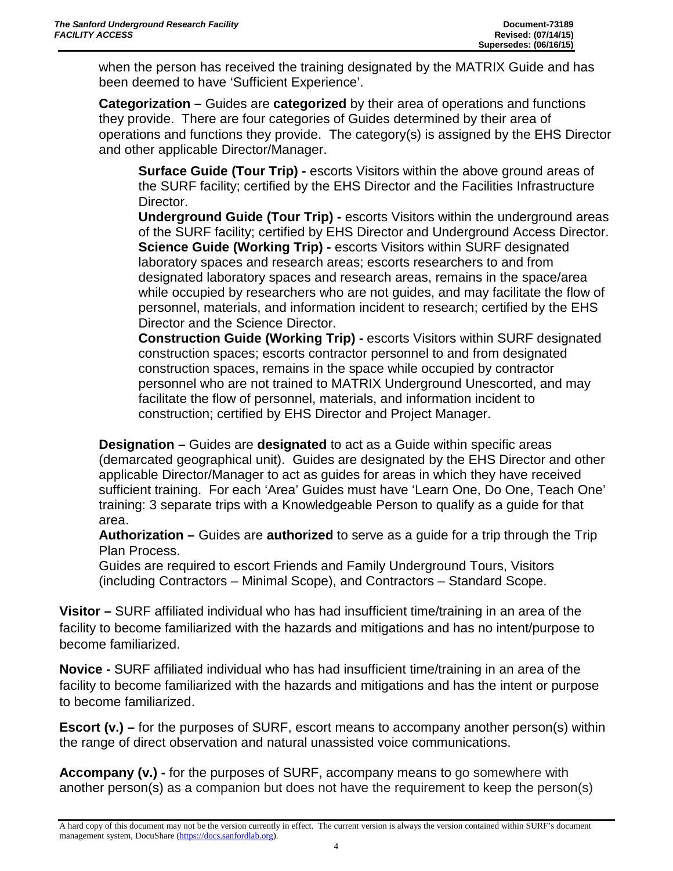when the person has received the training designated by the MATRIX Guide and has been deemed to have 'Sufficient Experience'.

**Categorization –** Guides are **categorized** by their area of operations and functions they provide. There are four categories of Guides determined by their area of operations and functions they provide. The category(s) is assigned by the EHS Director and other applicable Director/Manager.

**Surface Guide (Tour Trip) -** escorts Visitors within the above ground areas of the SURF facility; certified by the EHS Director and the Facilities Infrastructure Director.

**Underground Guide (Tour Trip) -** escorts Visitors within the underground areas of the SURF facility; certified by EHS Director and Underground Access Director. **Science Guide (Working Trip) -** escorts Visitors within SURF designated laboratory spaces and research areas; escorts researchers to and from designated laboratory spaces and research areas, remains in the space/area while occupied by researchers who are not guides, and may facilitate the flow of personnel, materials, and information incident to research; certified by the EHS Director and the Science Director.

**Construction Guide (Working Trip) -** escorts Visitors within SURF designated construction spaces; escorts contractor personnel to and from designated construction spaces, remains in the space while occupied by contractor personnel who are not trained to MATRIX Underground Unescorted, and may facilitate the flow of personnel, materials, and information incident to construction; certified by EHS Director and Project Manager.

**Designation –** Guides are **designated** to act as a Guide within specific areas (demarcated geographical unit). Guides are designated by the EHS Director and other applicable Director/Manager to act as guides for areas in which they have received sufficient training. For each 'Area' Guides must have 'Learn One, Do One, Teach One' training: 3 separate trips with a Knowledgeable Person to qualify as a guide for that area.

**Authorization –** Guides are **authorized** to serve as a guide for a trip through the Trip Plan Process.

Guides are required to escort Friends and Family Underground Tours, Visitors (including Contractors – Minimal Scope), and Contractors – Standard Scope.

**Visitor –** SURF affiliated individual who has had insufficient time/training in an area of the facility to become familiarized with the hazards and mitigations and has no intent/purpose to become familiarized.

**Novice -** SURF affiliated individual who has had insufficient time/training in an area of the facility to become familiarized with the hazards and mitigations and has the intent or purpose to become familiarized.

**Escort (v.)** – for the purposes of SURF, escort means to accompany another person(s) within the range of direct observation and natural unassisted voice communications.

**Accompany (v.) -** for the purposes of SURF, accompany means to go somewhere with another person(s) as a companion but does not have the requirement to keep the person(s)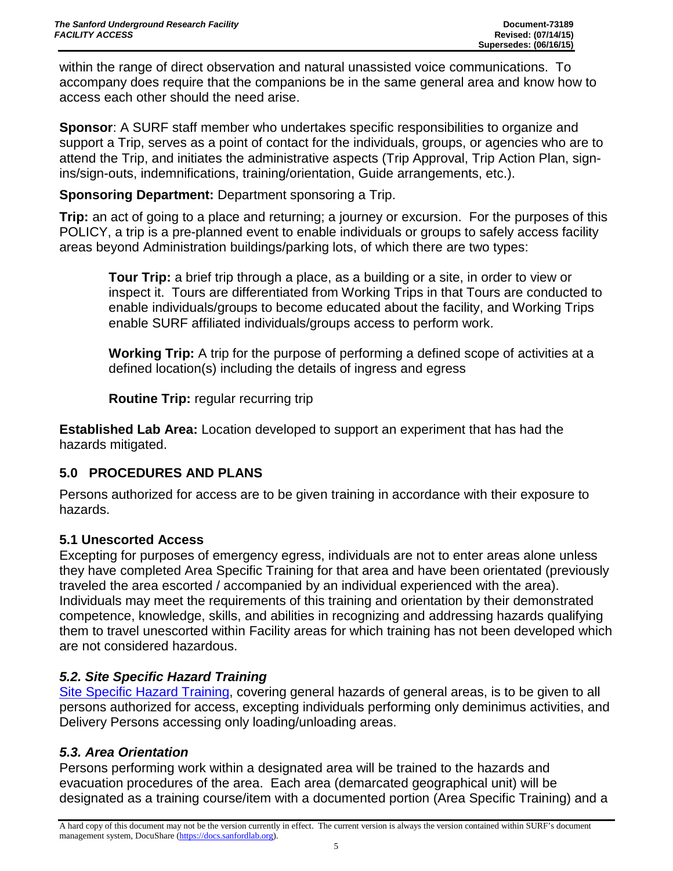within the range of direct observation and natural unassisted voice communications. To accompany does require that the companions be in the same general area and know how to access each other should the need arise.

**Sponsor**: A SURF staff member who undertakes specific responsibilities to organize and support a Trip, serves as a point of contact for the individuals, groups, or agencies who are to attend the Trip, and initiates the administrative aspects (Trip Approval, Trip Action Plan, signins/sign-outs, indemnifications, training/orientation, Guide arrangements, etc.).

**Sponsoring Department:** Department sponsoring a Trip.

**Trip:** an act of going to a place and returning; a journey or excursion. For the purposes of this POLICY, a trip is a pre-planned event to enable individuals or groups to safely access facility areas beyond Administration buildings/parking lots, of which there are two types:

**Tour Trip:** a brief trip through a place, as a building or a site, in order to view or inspect it. Tours are differentiated from Working Trips in that Tours are conducted to enable individuals/groups to become educated about the facility, and Working Trips enable SURF affiliated individuals/groups access to perform work.

**Working Trip:** A trip for the purpose of performing a defined scope of activities at a defined location(s) including the details of ingress and egress

**Routine Trip:** regular recurring trip

**Established Lab Area:** Location developed to support an experiment that has had the hazards mitigated.

#### <span id="page-7-0"></span>**5.0 PROCEDURES AND PLANS**

Persons authorized for access are to be given training in accordance with their exposure to hazards.

#### **5.1 Unescorted Access**

Excepting for purposes of emergency egress, individuals are not to enter areas alone unless they have completed Area Specific Training for that area and have been orientated (previously traveled the area escorted / accompanied by an individual experienced with the area). Individuals may meet the requirements of this training and orientation by their demonstrated competence, knowledge, skills, and abilities in recognizing and addressing hazards qualifying them to travel unescorted within Facility areas for which training has not been developed which are not considered hazardous.

#### *5.2. Site Specific Hazard Training*

[Site Specific Hazard Training,](https://docs.sanfordlab.org/docushare/dsweb/Get/Document-73359) covering general hazards of general areas, is to be given to all persons authorized for access, excepting individuals performing only deminimus activities, and Delivery Persons accessing only loading/unloading areas.

#### *5.3. Area Orientation*

Persons performing work within a designated area will be trained to the hazards and evacuation procedures of the area. Each area (demarcated geographical unit) will be designated as a training course/item with a documented portion (Area Specific Training) and a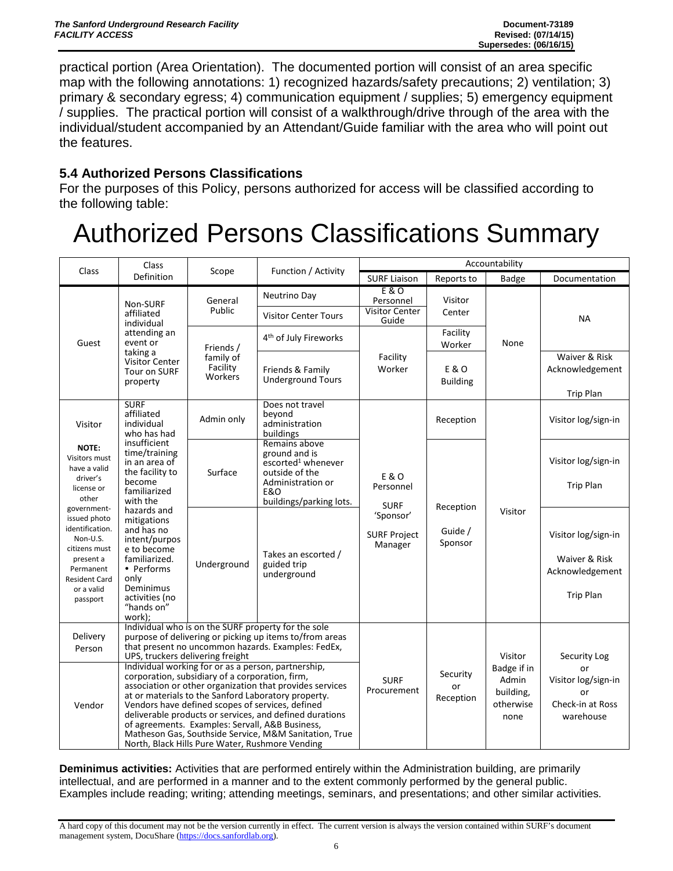practical portion (Area Orientation). The documented portion will consist of an area specific map with the following annotations: 1) recognized hazards/safety precautions; 2) ventilation; 3) primary & secondary egress; 4) communication equipment / supplies; 5) emergency equipment / supplies. The practical portion will consist of a walkthrough/drive through of the area with the individual/student accompanied by an Attendant/Guide familiar with the area who will point out the features.

#### **5.4 Authorized Persons Classifications**

For the purposes of this Policy, persons authorized for access will be classified according to the following table:

# Authorized Persons Classifications Summary

| Class                                                                                                                                    | Class                                                                                                                                                                                                                                                                                                                                                                                                                                                                                                   |                                  | Function / Activity                                                                                                                                                  | Accountability                                       |                             |                                                        |                                                                             |
|------------------------------------------------------------------------------------------------------------------------------------------|---------------------------------------------------------------------------------------------------------------------------------------------------------------------------------------------------------------------------------------------------------------------------------------------------------------------------------------------------------------------------------------------------------------------------------------------------------------------------------------------------------|----------------------------------|----------------------------------------------------------------------------------------------------------------------------------------------------------------------|------------------------------------------------------|-----------------------------|--------------------------------------------------------|-----------------------------------------------------------------------------|
|                                                                                                                                          | Definition                                                                                                                                                                                                                                                                                                                                                                                                                                                                                              | Scope                            |                                                                                                                                                                      | <b>SURF Liaison</b>                                  | Reports to                  | <b>Badge</b>                                           | Documentation                                                               |
|                                                                                                                                          | Non-SURF<br>affiliated                                                                                                                                                                                                                                                                                                                                                                                                                                                                                  | General<br>Public                | Neutrino Day<br>Visitor Center Tours                                                                                                                                 | E & O<br>Personnel<br><b>Visitor Center</b><br>Guide | Visitor<br>Center           |                                                        | <b>NA</b>                                                                   |
| Guest                                                                                                                                    | individual<br>attending an<br>event or<br>taking a                                                                                                                                                                                                                                                                                                                                                                                                                                                      | Friends /                        | 4 <sup>th</sup> of July Fireworks                                                                                                                                    |                                                      | Facility<br>Worker          | None                                                   |                                                                             |
|                                                                                                                                          | <b>Visitor Center</b><br><b>Tour on SURF</b><br>property                                                                                                                                                                                                                                                                                                                                                                                                                                                | family of<br>Facility<br>Workers | Friends & Family<br><b>Underground Tours</b>                                                                                                                         | Facility<br>Worker                                   | E & O<br><b>Building</b>    |                                                        | Waiver & Risk<br>Acknowledgement                                            |
| Visitor                                                                                                                                  | <b>SURF</b><br>affiliated<br>individual<br>who has had                                                                                                                                                                                                                                                                                                                                                                                                                                                  | Admin only                       | Does not travel<br>beyond<br>administration<br>buildings                                                                                                             |                                                      | Reception                   |                                                        | <b>Trip Plan</b><br>Visitor log/sign-in                                     |
| NOTE:<br>Visitors must<br>have a valid<br>driver's<br>license or<br>other                                                                | insufficient<br>time/training<br>in an area of<br>the facility to<br>become<br>familiarized<br>with the                                                                                                                                                                                                                                                                                                                                                                                                 | Surface                          | Remains above<br>ground and is<br>escorted <sup>1</sup> whenever<br>outside of the<br>Administration or<br><b>E&amp;O</b><br>buildings/parking lots.                 | <b>E&amp;O</b><br>Personnel<br><b>SURF</b>           | Reception                   |                                                        | Visitor log/sign-in<br><b>Trip Plan</b>                                     |
| issued photo<br>identification.<br>Non-U.S.<br>citizens must<br>present a<br>Permanent<br><b>Resident Card</b><br>or a valid<br>passport | government-<br>hazards and<br>mitigations<br>and has no<br>intent/purpos<br>e to become<br>familiarized.<br>• Performs<br>only<br>Deminimus<br>activities (no<br>"hands on"<br>work):                                                                                                                                                                                                                                                                                                                   | Underground                      | Takes an escorted /<br>guided trip<br>underground                                                                                                                    | 'Sponsor'<br><b>SURF Project</b><br>Manager          | Guide /<br>Sponsor          | Visitor                                                | Visitor log/sign-in<br>Waiver & Risk<br>Acknowledgement<br><b>Trip Plan</b> |
| Delivery<br>Person                                                                                                                       | UPS, truckers delivering freight                                                                                                                                                                                                                                                                                                                                                                                                                                                                        |                                  | Individual who is on the SURF property for the sole<br>purpose of delivering or picking up items to/from areas<br>that present no uncommon hazards. Examples: FedEx, |                                                      |                             | Visitor                                                | Security Log                                                                |
| Vendor                                                                                                                                   | Individual working for or as a person, partnership,<br>corporation, subsidiary of a corporation, firm,<br>association or other organization that provides services<br>at or materials to the Sanford Laboratory property.<br>Vendors have defined scopes of services, defined<br>deliverable products or services, and defined durations<br>of agreements. Examples: Servall, A&B Business,<br>Matheson Gas, Southside Service, M&M Sanitation, True<br>North, Black Hills Pure Water, Rushmore Vending |                                  |                                                                                                                                                                      | <b>SURF</b><br>Procurement                           | Security<br>or<br>Reception | Badge if in<br>Admin<br>building,<br>otherwise<br>none | or<br>Visitor log/sign-in<br>or<br>Check-in at Ross<br>warehouse            |

**Deminimus activities:** Activities that are performed entirely within the Administration building, are primarily intellectual, and are performed in a manner and to the extent commonly performed by the general public. Examples include reading; writing; attending meetings, seminars, and presentations; and other similar activities*.*

A hard copy of this document may not be the version currently in effect. The current version is always the version contained within SURF's document management system, DocuShare [\(https://docs.sanfordlab.org\)](https://docs.sanfordlab.org/).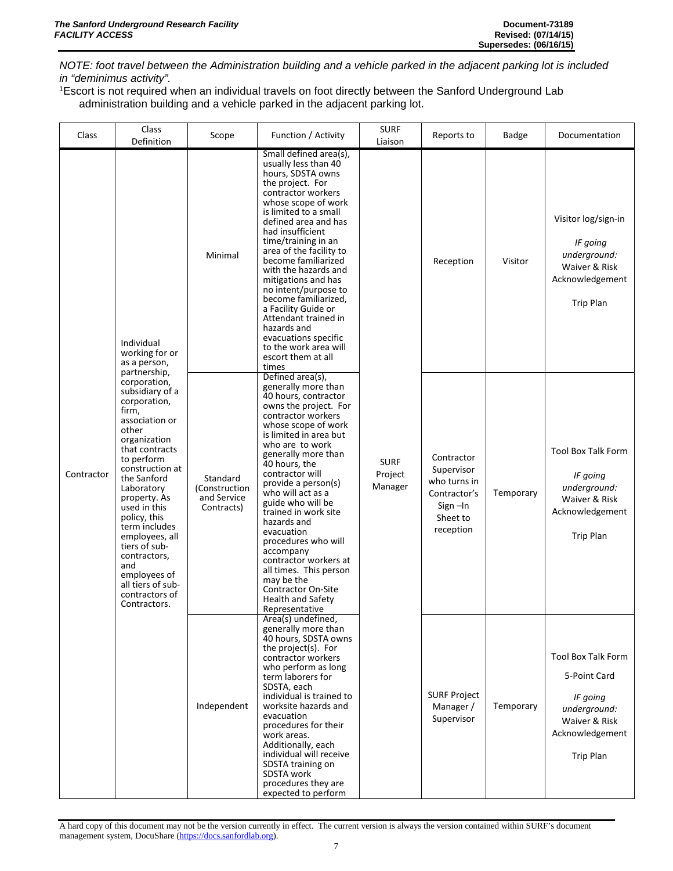*NOTE: foot travel between the Administration building and a vehicle parked in the adjacent parking lot is included in "deminimus activity".*

1Escort is not required when an individual travels on foot directly between the Sanford Underground Lab administration building and a vehicle parked in the adjacent parking lot.

| Class      | Class<br>Definition                                                                                                                                                                                                                                                                                                                                                                                   | Scope                                                  | Function / Activity                                                                                                                                                                                                                                                                                                                                                                                                                                                                                                                                 | <b>SURF</b><br>Liaison            | Reports to                                                                                      | Badge     | Documentation                                                                                                                 |
|------------|-------------------------------------------------------------------------------------------------------------------------------------------------------------------------------------------------------------------------------------------------------------------------------------------------------------------------------------------------------------------------------------------------------|--------------------------------------------------------|-----------------------------------------------------------------------------------------------------------------------------------------------------------------------------------------------------------------------------------------------------------------------------------------------------------------------------------------------------------------------------------------------------------------------------------------------------------------------------------------------------------------------------------------------------|-----------------------------------|-------------------------------------------------------------------------------------------------|-----------|-------------------------------------------------------------------------------------------------------------------------------|
|            | Individual<br>working for or<br>as a person,                                                                                                                                                                                                                                                                                                                                                          | Minimal                                                | Small defined area(s),<br>usually less than 40<br>hours, SDSTA owns<br>the project. For<br>contractor workers<br>whose scope of work<br>is limited to a small<br>defined area and has<br>had insufficient<br>time/training in an<br>area of the facility to<br>become familiarized<br>with the hazards and<br>mitigations and has<br>no intent/purpose to<br>become familiarized,<br>a Facility Guide or<br>Attendant trained in<br>hazards and<br>evacuations specific<br>to the work area will<br>escort them at all<br>times                     |                                   | Reception                                                                                       | Visitor   | Visitor log/sign-in<br>IF going<br>underground:<br>Waiver & Risk<br>Acknowledgement<br><b>Trip Plan</b>                       |
| Contractor | partnership,<br>corporation,<br>subsidiary of a<br>corporation,<br>firm,<br>association or<br>other<br>organization<br>that contracts<br>to perform<br>construction at<br>the Sanford<br>Laboratory<br>property. As<br>used in this<br>policy, this<br>term includes<br>employees, all<br>tiers of sub-<br>contractors,<br>and<br>employees of<br>all tiers of sub-<br>contractors of<br>Contractors. | Standard<br>(Construction<br>and Service<br>Contracts) | Defined area(s),<br>generally more than<br>40 hours, contractor<br>owns the project. For<br>contractor workers<br>whose scope of work<br>is limited in area but<br>who are to work<br>generally more than<br>40 hours, the<br>contractor will<br>provide a person(s)<br>who will act as a<br>guide who will be<br>trained in work site<br>hazards and<br>evacuation<br>procedures who will<br>accompany<br>contractor workers at<br>all times. This person<br>may be the<br><b>Contractor On-Site</b><br><b>Health and Safety</b><br>Representative | <b>SURF</b><br>Project<br>Manager | Contractor<br>Supervisor<br>who turns in<br>Contractor's<br>$Sign$ –In<br>Sheet to<br>reception | Temporary | <b>Tool Box Talk Form</b><br>IF going<br>underground:<br>Waiver & Risk<br>Acknowledgement<br><b>Trip Plan</b>                 |
|            |                                                                                                                                                                                                                                                                                                                                                                                                       | Independent                                            | Area(s) undefined,<br>generally more than<br>40 hours, SDSTA owns<br>the project(s). For<br>contractor workers<br>who perform as long<br>term laborers for<br>SDSTA, each<br>individual is trained to<br>worksite hazards and<br>evacuation<br>procedures for their<br>work areas.<br>Additionally, each<br>individual will receive<br>SDSTA training on<br>SDSTA work<br>procedures they are<br>expected to perform                                                                                                                                |                                   | <b>SURF Project</b><br>Manager /<br>Supervisor                                                  | Temporary | <b>Tool Box Talk Form</b><br>5-Point Card<br>IF going<br>underground:<br>Waiver & Risk<br>Acknowledgement<br><b>Trip Plan</b> |

A hard copy of this document may not be the version currently in effect. The current version is always the version contained within SURF's document management system, DocuShare [\(https://docs.sanfordlab.org\)](https://docs.sanfordlab.org/).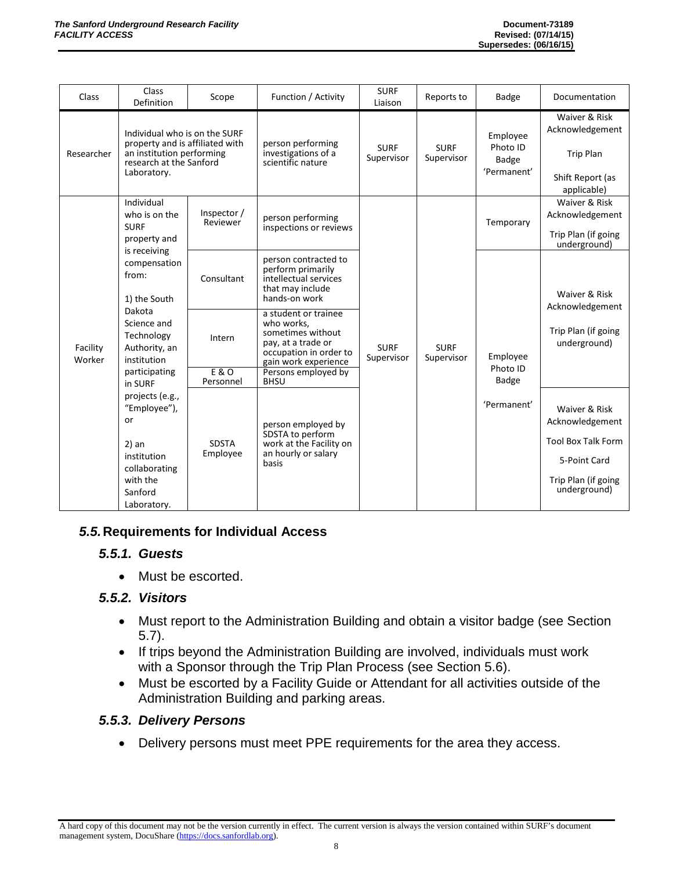| Class              | Class<br>Definition                                                                                                                                                                                                                                                                | Scope                    | Function / Activity                                                                                                                                    | <b>SURF</b><br>Liaison    | Reports to                | Badge                                               | Documentation                                                                                                        |
|--------------------|------------------------------------------------------------------------------------------------------------------------------------------------------------------------------------------------------------------------------------------------------------------------------------|--------------------------|--------------------------------------------------------------------------------------------------------------------------------------------------------|---------------------------|---------------------------|-----------------------------------------------------|----------------------------------------------------------------------------------------------------------------------|
| Researcher         | Individual who is on the SURF<br>property and is affiliated with<br>an institution performing<br>research at the Sanford<br>Laboratory.                                                                                                                                            |                          | person performing<br>investigations of a<br>scientific nature                                                                                          | <b>SURF</b><br>Supervisor | <b>SURF</b><br>Supervisor | Employee<br>Photo ID<br><b>Badge</b><br>'Permanent' | Waiver & Risk<br>Acknowledgement<br><b>Trip Plan</b><br>Shift Report (as<br>applicable)                              |
|                    | Individual<br>who is on the<br><b>SURF</b><br>property and                                                                                                                                                                                                                         | Inspector /<br>Reviewer  | person performing<br>inspections or reviews                                                                                                            |                           |                           | Temporary                                           | Waiver & Risk<br>Acknowledgement<br>Trip Plan (if going<br>underground)                                              |
| Facility<br>Worker | is receiving<br>compensation<br>from:<br>1) the South<br>Dakota<br>Science and<br>Technology<br>Authority, an<br>institution<br>participating<br>in SURF<br>projects (e.g.,<br>"Employee"),<br>or<br>$2)$ an<br>institution<br>collaborating<br>with the<br>Sanford<br>Laboratory. | Consultant               | person contracted to<br>perform primarily<br>intellectual services<br>that may include<br>hands-on work                                                | <b>SURF</b><br>Supervisor | <b>SURF</b><br>Supervisor | Employee<br>Photo ID<br>Badge                       | Waiver & Risk<br>Acknowledgement                                                                                     |
|                    |                                                                                                                                                                                                                                                                                    | Intern<br>E & O          | a student or trainee<br>who works,<br>sometimes without<br>pay, at a trade or<br>occupation in order to<br>gain work experience<br>Persons employed by |                           |                           |                                                     | Trip Plan (if going<br>underground)                                                                                  |
|                    |                                                                                                                                                                                                                                                                                    | Personnel                | <b>BHSU</b>                                                                                                                                            |                           |                           |                                                     |                                                                                                                      |
|                    |                                                                                                                                                                                                                                                                                    | <b>SDSTA</b><br>Employee | person employed by<br>SDSTA to perform<br>work at the Facility on<br>an hourly or salary<br>basis                                                      |                           |                           | 'Permanent'                                         | Waiver & Risk<br>Acknowledgement<br><b>Tool Box Talk Form</b><br>5-Point Card<br>Trip Plan (if going<br>underground) |

#### *5.5.***Requirements for Individual Access**

#### *5.5.1. Guests*

• Must be escorted.

#### *5.5.2. Visitors*

- Must report to the Administration Building and obtain a visitor badge (see Section 5.7).
- If trips beyond the Administration Building are involved, individuals must work with a Sponsor through the Trip Plan Process (see Section 5.6).
- Must be escorted by a Facility Guide or Attendant for all activities outside of the Administration Building and parking areas.

#### *5.5.3. Delivery Persons*

• Delivery persons must meet PPE requirements for the area they access.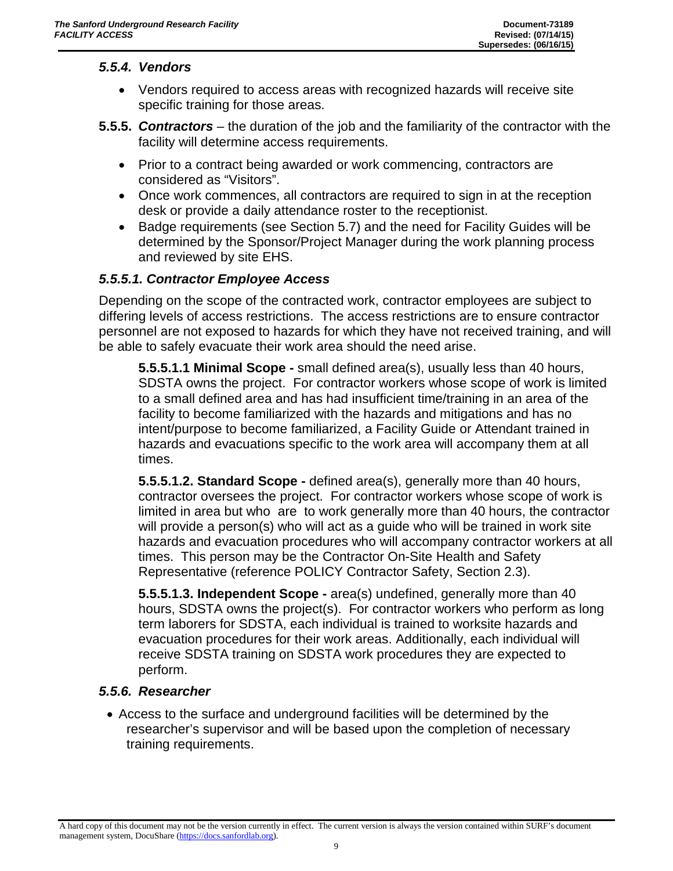#### *5.5.4. Vendors*

- Vendors required to access areas with recognized hazards will receive site specific training for those areas.
- **5.5.5.** *Contractors* the duration of the job and the familiarity of the contractor with the facility will determine access requirements.
	- Prior to a contract being awarded or work commencing, contractors are considered as "Visitors".
	- Once work commences, all contractors are required to sign in at the reception desk or provide a daily attendance roster to the receptionist.
	- Badge requirements (see Section 5.7) and the need for Facility Guides will be determined by the Sponsor/Project Manager during the work planning process and reviewed by site EHS.

#### *5.5.5.1. Contractor Employee Access*

Depending on the scope of the contracted work, contractor employees are subject to differing levels of access restrictions. The access restrictions are to ensure contractor personnel are not exposed to hazards for which they have not received training, and will be able to safely evacuate their work area should the need arise.

**5.5.5.1.1 Minimal Scope -** small defined area(s), usually less than 40 hours, SDSTA owns the project. For contractor workers whose scope of work is limited to a small defined area and has had insufficient time/training in an area of the facility to become familiarized with the hazards and mitigations and has no intent/purpose to become familiarized, a Facility Guide or Attendant trained in hazards and evacuations specific to the work area will accompany them at all times.

**5.5.5.1.2. Standard Scope -** defined area(s), generally more than 40 hours, contractor oversees the project. For contractor workers whose scope of work is limited in area but who are to work generally more than 40 hours, the contractor will provide a person(s) who will act as a guide who will be trained in work site hazards and evacuation procedures who will accompany contractor workers at all times. This person may be the Contractor On-Site Health and Safety Representative (reference POLICY Contractor Safety, Section 2.3).

**5.5.5.1.3. Independent Scope -** area(s) undefined, generally more than 40 hours, SDSTA owns the project(s). For contractor workers who perform as long term laborers for SDSTA, each individual is trained to worksite hazards and evacuation procedures for their work areas. Additionally, each individual will receive SDSTA training on SDSTA work procedures they are expected to perform.

#### *5.5.6. Researcher*

• Access to the surface and underground facilities will be determined by the researcher's supervisor and will be based upon the completion of necessary training requirements.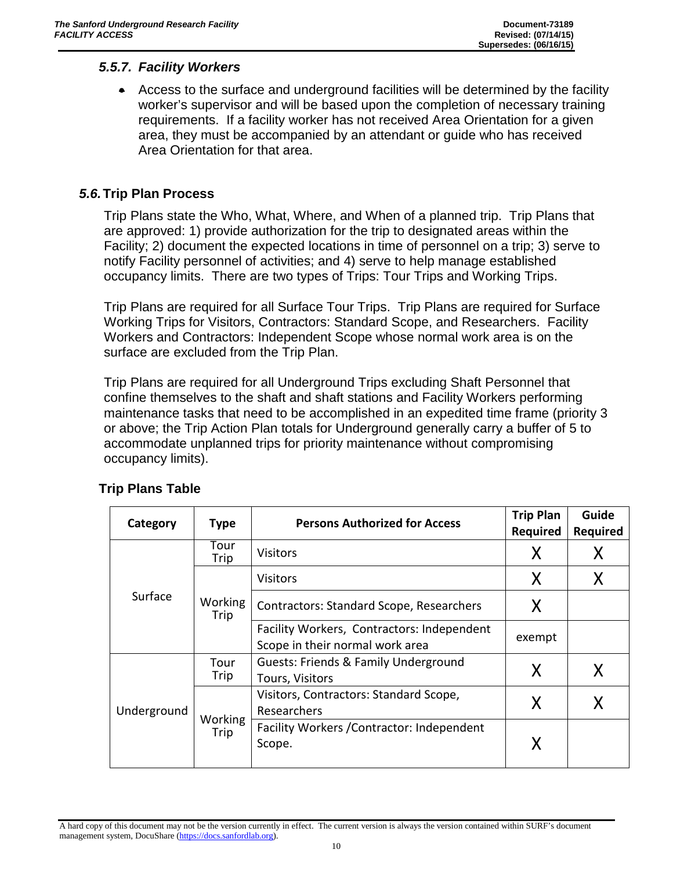#### *5.5.7. Facility Workers*

• Access to the surface and underground facilities will be determined by the facility worker's supervisor and will be based upon the completion of necessary training requirements. If a facility worker has not received Area Orientation for a given area, they must be accompanied by an attendant or guide who has received Area Orientation for that area.

#### *5.6.***Trip Plan Process**

Trip Plans state the Who, What, Where, and When of a planned trip. Trip Plans that are approved: 1) provide authorization for the trip to designated areas within the Facility; 2) document the expected locations in time of personnel on a trip; 3) serve to notify Facility personnel of activities; and 4) serve to help manage established occupancy limits. There are two types of Trips: Tour Trips and Working Trips.

Trip Plans are required for all Surface Tour Trips. Trip Plans are required for Surface Working Trips for Visitors, Contractors: Standard Scope, and Researchers. Facility Workers and Contractors: Independent Scope whose normal work area is on the surface are excluded from the Trip Plan.

Trip Plans are required for all Underground Trips excluding Shaft Personnel that confine themselves to the shaft and shaft stations and Facility Workers performing maintenance tasks that need to be accomplished in an expedited time frame (priority 3 or above; the Trip Action Plan totals for Underground generally carry a buffer of 5 to accommodate unplanned trips for priority maintenance without compromising occupancy limits).

| Category    | <b>Type</b>     | <b>Persons Authorized for Access</b>                                          | <b>Trip Plan</b><br><b>Required</b> | Guide<br>Required |
|-------------|-----------------|-------------------------------------------------------------------------------|-------------------------------------|-------------------|
|             | Tour<br>Trip    | <b>Visitors</b>                                                               | X                                   | Χ                 |
|             |                 | <b>Visitors</b>                                                               | X                                   | Χ                 |
| Surface     | Working<br>Trip | <b>Contractors: Standard Scope, Researchers</b>                               | X                                   |                   |
|             |                 | Facility Workers, Contractors: Independent<br>Scope in their normal work area | exempt                              |                   |
|             | Tour<br>Trip    | Guests: Friends & Family Underground<br>Tours, Visitors                       | X                                   | Χ                 |
| Underground | Working<br>Trip | Visitors, Contractors: Standard Scope,<br>Researchers                         | X                                   |                   |
|             |                 | Facility Workers / Contractor: Independent<br>Scope.                          |                                     |                   |

#### **Trip Plans Table**

A hard copy of this document may not be the version currently in effect. The current version is always the version contained within SURF's document management system, DocuShare [\(https://docs.sanfordlab.org\)](https://docs.sanfordlab.org/).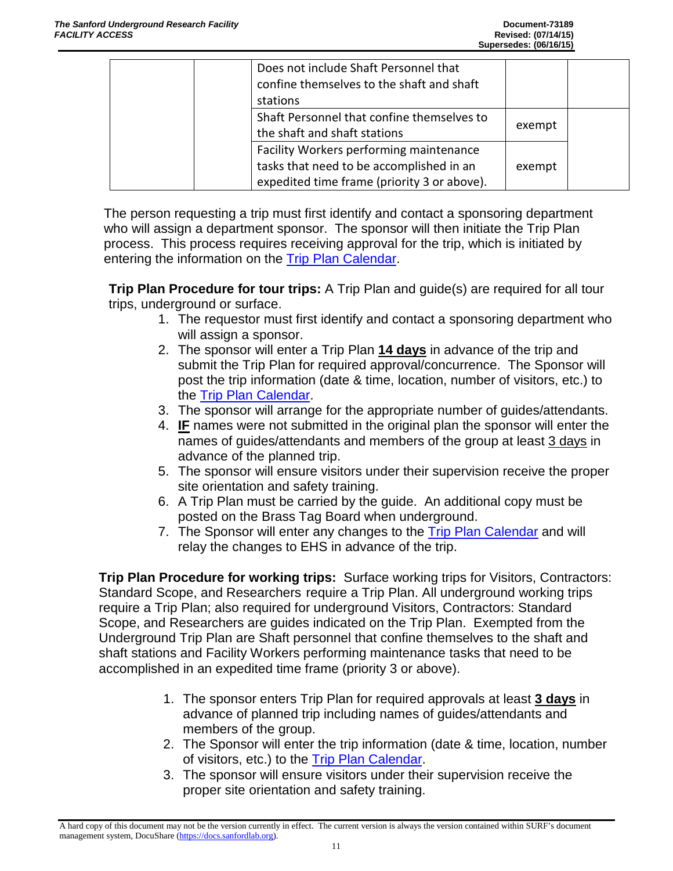| Does not include Shaft Personnel that<br>confine themselves to the shaft and shaft<br>stations                                     |        |  |
|------------------------------------------------------------------------------------------------------------------------------------|--------|--|
| Shaft Personnel that confine themselves to<br>the shaft and shaft stations                                                         | exempt |  |
| Facility Workers performing maintenance<br>tasks that need to be accomplished in an<br>expedited time frame (priority 3 or above). | exempt |  |

The person requesting a trip must first identify and contact a sponsoring department who will assign a department sponsor. The sponsor will then initiate the Trip Plan process. This process requires receiving approval for the trip, which is initiated by entering the information on the [Trip Plan Calendar.](https://docs.sanfordlab.org/cfide/ta_view.cfm)

**Trip Plan Procedure for tour trips:** A Trip Plan and guide(s) are required for all tour trips, underground or surface.

- 1. The requestor must first identify and contact a sponsoring department who will assign a sponsor.
- 2. The sponsor will enter a Trip Plan **14 days** in advance of the trip and submit the Trip Plan for required approval/concurrence. The Sponsor will post the trip information (date & time, location, number of visitors, etc.) to the [Trip Plan Calendar.](https://docs.sanfordlab.org/cfide/ta_view.cfm)
- 3. The sponsor will arrange for the appropriate number of guides/attendants.
- 4. **IF** names were not submitted in the original plan the sponsor will enter the names of guides/attendants and members of the group at least 3 days in advance of the planned trip.
- 5. The sponsor will ensure visitors under their supervision receive the proper site orientation and safety training.
- 6. A Trip Plan must be carried by the guide. An additional copy must be posted on the Brass Tag Board when underground.
- 7. The Sponsor will enter any changes to the [Trip Plan Calendar](https://docs.sanfordlab.org/cfide/ta_view.cfm) and will relay the changes to EHS in advance of the trip.

**Trip Plan Procedure for working trips:** Surface working trips for Visitors, Contractors: Standard Scope, and Researchers require a Trip Plan. All underground working trips require a Trip Plan; also required for underground Visitors, Contractors: Standard Scope, and Researchers are guides indicated on the Trip Plan. Exempted from the Underground Trip Plan are Shaft personnel that confine themselves to the shaft and shaft stations and Facility Workers performing maintenance tasks that need to be accomplished in an expedited time frame (priority 3 or above).

- 1. The sponsor enters Trip Plan for required approvals at least **3 days** in advance of planned trip including names of guides/attendants and members of the group.
- 2. The Sponsor will enter the trip information (date & time, location, number of visitors, etc.) to the [Trip Plan Calendar.](https://docs.sanfordlab.org/cfide/ta_view.cfm)
- 3. The sponsor will ensure visitors under their supervision receive the proper site orientation and safety training.

A hard copy of this document may not be the version currently in effect. The current version is always the version contained within SURF's document management system, DocuShare [\(https://docs.sanfordlab.org\)](https://docs.sanfordlab.org/).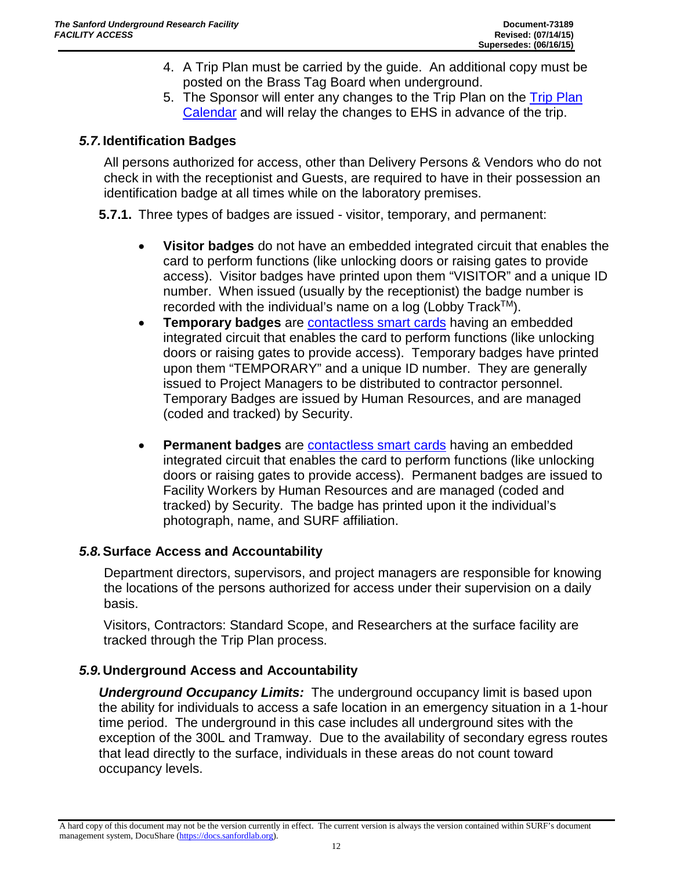- 4. A Trip Plan must be carried by the guide. An additional copy must be posted on the Brass Tag Board when underground.
- 5. The Sponsor will enter any changes to the Trip Plan on the [Trip Plan](https://docs.sanfordlab.org/cfide/ta_view.cfm)  [Calendar](https://docs.sanfordlab.org/cfide/ta_view.cfm) and will relay the changes to EHS in advance of the trip.

#### *5.7.***Identification Badges**

All persons authorized for access, other than Delivery Persons & Vendors who do not check in with the receptionist and Guests, are required to have in their possession an identification badge at all times while on the laboratory premises.

**5.7.1.** Three types of badges are issued - visitor, temporary, and permanent:

- **Visitor badges** do not have an embedded integrated circuit that enables the card to perform functions (like unlocking doors or raising gates to provide access). Visitor badges have printed upon them "VISITOR" and a unique ID number. When issued (usually by the receptionist) the badge number is recorded with the individual's name on a log (Lobby Track<sup>TM</sup>).
- **Temporary badges** are [contactless smart cards](http://www.google.com/url?sa=t&rct=j&q=&esrc=s&source=web&cd=5&cad=rja&uact=8&sqi=2&ved=0CEwQFjAE&url=http%3A%2F%2Fen.wikipedia.org%2Fwiki%2FContactless_smart_card&ei=cpYVVZbHEIWRyQTmj4L4AQ&usg=AFQjCNFy_XOoZJy1jk--iDApsQqhOfNsUw) having an embedded integrated circuit that enables the card to perform functions (like unlocking doors or raising gates to provide access). Temporary badges have printed upon them "TEMPORARY" and a unique ID number. They are generally issued to Project Managers to be distributed to contractor personnel. Temporary Badges are issued by Human Resources, and are managed (coded and tracked) by Security.
- **Permanent badges** are [contactless smart cards](http://www.google.com/url?sa=t&rct=j&q=&esrc=s&source=web&cd=5&cad=rja&uact=8&sqi=2&ved=0CEwQFjAE&url=http%3A%2F%2Fen.wikipedia.org%2Fwiki%2FContactless_smart_card&ei=cpYVVZbHEIWRyQTmj4L4AQ&usg=AFQjCNFy_XOoZJy1jk--iDApsQqhOfNsUw) having an embedded integrated circuit that enables the card to perform functions (like unlocking doors or raising gates to provide access). Permanent badges are issued to Facility Workers by Human Resources and are managed (coded and tracked) by Security. The badge has printed upon it the individual's photograph, name, and SURF affiliation.

#### *5.8.***Surface Access and Accountability**

Department directors, supervisors, and project managers are responsible for knowing the locations of the persons authorized for access under their supervision on a daily basis.

Visitors, Contractors: Standard Scope, and Researchers at the surface facility are tracked through the Trip Plan process.

#### *5.9.***Underground Access and Accountability**

*Underground Occupancy Limits:* The underground occupancy limit is based upon the ability for individuals to access a safe location in an emergency situation in a 1-hour time period. The underground in this case includes all underground sites with the exception of the 300L and Tramway. Due to the availability of secondary egress routes that lead directly to the surface, individuals in these areas do not count toward occupancy levels.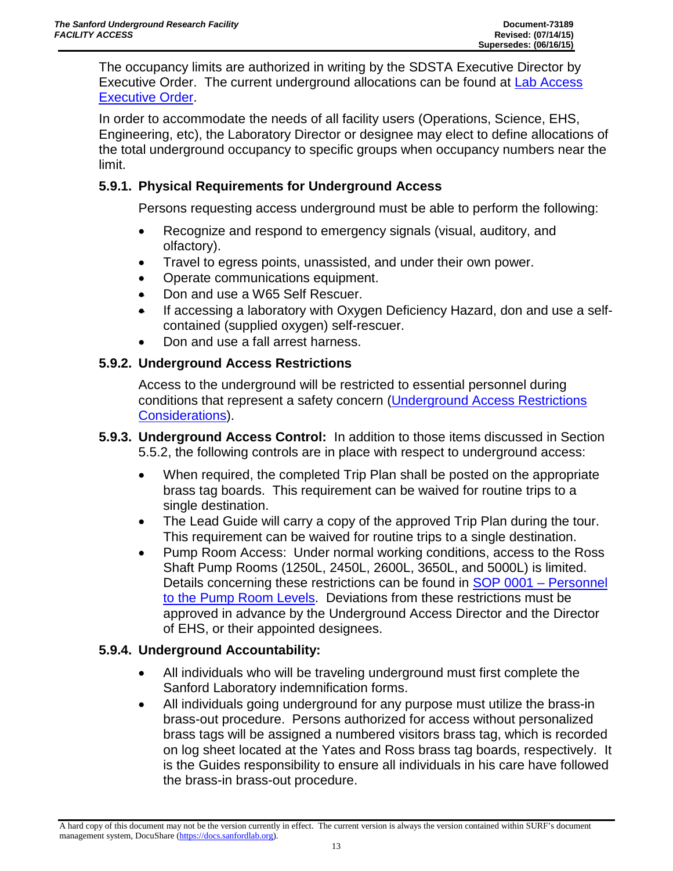The occupancy limits are authorized in writing by the SDSTA Executive Director by Executive Order. The current underground allocations can be found at [Lab Access](https://docs.sanfordlab.org/docushare/dsweb/Get/Document-49881)  [Executive Order.](https://docs.sanfordlab.org/docushare/dsweb/Get/Document-49881)

In order to accommodate the needs of all facility users (Operations, Science, EHS, Engineering, etc), the Laboratory Director or designee may elect to define allocations of the total underground occupancy to specific groups when occupancy numbers near the limit.

#### **5.9.1. Physical Requirements for Underground Access**

Persons requesting access underground must be able to perform the following:

- Recognize and respond to emergency signals (visual, auditory, and olfactory).
- Travel to egress points, unassisted, and under their own power.
- Operate communications equipment.
- Don and use a W65 Self Rescuer.
- If accessing a laboratory with Oxygen Deficiency Hazard, don and use a selfcontained (supplied oxygen) self-rescuer.
- Don and use a fall arrest harness.

#### **5.9.2. Underground Access Restrictions**

Access to the underground will be restricted to essential personnel during conditions that represent a safety concern [\(Underground Access Restrictions](https://docs.sanfordlab.org/docushare/dsweb/Get/Document-95687/)  [Considerations\)](https://docs.sanfordlab.org/docushare/dsweb/Get/Document-95687/).

- **5.9.3. Underground Access Control:** In addition to those items discussed in Section 5.5.2, the following controls are in place with respect to underground access:
	- When required, the completed Trip Plan shall be posted on the appropriate brass tag boards. This requirement can be waived for routine trips to a single destination.
	- The Lead Guide will carry a copy of the approved Trip Plan during the tour. This requirement can be waived for routine trips to a single destination.
	- Pump Room Access: Under normal working conditions, access to the Ross Shaft Pump Rooms (1250L, 2450L, 2600L, 3650L, and 5000L) is limited. Details concerning these restrictions can be found in [SOP 0001 –](https://docs.sanfordlab.org/docushare/dsweb/Get/Document-71522/) Personnel [to the Pump Room Levels.](https://docs.sanfordlab.org/docushare/dsweb/Get/Document-71522/) Deviations from these restrictions must be approved in advance by the Underground Access Director and the Director of EHS, or their appointed designees.

#### **5.9.4. Underground Accountability:**

- All individuals who will be traveling underground must first complete the Sanford Laboratory indemnification forms.
- All individuals going underground for any purpose must utilize the brass-in brass-out procedure. Persons authorized for access without personalized brass tags will be assigned a numbered visitors brass tag, which is recorded on log sheet located at the Yates and Ross brass tag boards, respectively. It is the Guides responsibility to ensure all individuals in his care have followed the brass-in brass-out procedure.